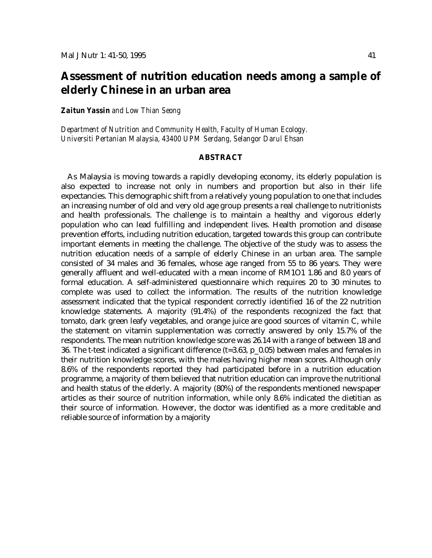# **Assessment of nutrition education needs among a sample of elderly Chinese in an urban area**

*Zaitun Yassin and Low Thian Seong*

*Department of Nutrition and Community Health, Faculty of Human Ecology. Universiti Pertanian Malaysia, 43400 UPM Serdang, Selangor Darul Ehsan*

#### **ABSTRACT**

As Malaysia is moving towards a rapidly developing economy, its elderly population is also expected to increase not only in numbers and proportion but also in their life expectancies. This demographic shift from a relatively young population to one that includes an increasing number of old and very old age group presents a real challenge to nutritionists and health professionals. The challenge is to maintain a healthy and vigorous elderly population who can lead fulfilling and independent lives. Health promotion and disease prevention efforts, including nutrition education, targeted towards this group can contribute important elements in meeting the challenge. The objective of the study was to assess the nutrition education needs of a sample of elderly Chinese in an urban area. The sample consisted of 34 males and 36 females, whose age ranged from 55 to 86 years. They were generally affluent and well-educated with a mean income of RM1O1 1.86 and 8.0 years of formal education. A self-administered questionnaire which requires 20 to 30 minutes to complete was used to collect the information. The results of the nutrition knowledge assessment indicated that the typical respondent correctly identified 16 of the 22 nutrition knowledge statements. A majority (91.4%) of the respondents recognized the fact that tomato, dark green leafy vegetables, and orange juice are good sources of vitamin C, while the statement on vitamin supplementation was correctly answered by only 15.7% of the respondents. The mean nutrition knowledge score was 26.14 with a range of between 18 and 36. The t-test indicated a significant difference (t=3.63, p\_0.05) between males and females in their nutrition knowledge scores, with the males having higher mean scores. Although only 8.6% of the respondents reported they had participated before in a nutrition education programme, a majority of them believed that nutrition education can improve the nutritional and health status of the elderly. A majority (80%) of the respondents mentioned newspaper articles as their source of nutrition information, while only 8.6% indicated the dietitian as their source of information. However, the doctor was identified as a more creditable and reliable source of information by a majority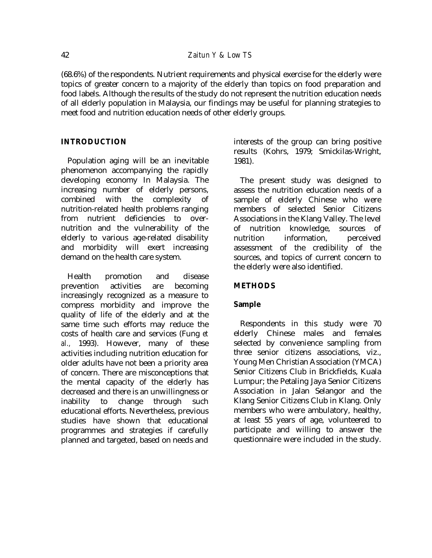(68.6%) of the respondents. Nutrient requirements and physical exercise for the elderly were topics of greater concern to a majority of the elderly than topics on food preparation and food labels. Although the results of the study do not represent the nutrition education needs of all elderly population in Malaysia, our findings may be useful for planning strategies to meet food and nutrition education needs of other elderly groups.

# **INTRODUCTION**

Population aging will be an inevitable phenomenon accompanying the rapidly developing economy In Malaysia. The increasing number of elderly persons, combined with the complexity of nutrition-related health problems ranging from nutrient deficiencies to overnutrition and the vulnerability of the elderly to various age-related disability and morbidity will exert increasing demand on the health care system.

Health promotion and disease prevention activities are becoming increasingly recognized as a measure to compress morbidity and improve the quality of life of the elderly and at the same time such efforts may reduce the costs of health care and services (Fung *et al.,* 1993). However, many of these activities including nutrition education for older adults have not been a priority area of concern. There are misconceptions that the mental capacity of the elderly has decreased and there is an unwillingness or inability to change through such educational efforts. Nevertheless, previous studies have shown that educational programmes and strategies if carefully planned and targeted, based on needs and interests of the group can bring positive results (Kohrs, 1979; Smickilas-Wright, 1981).

The present study was designed to assess the nutrition education needs of a sample of elderly Chinese who were members of selected Senior Citizens Associations in the Klang Valley. The level of nutrition knowledge, sources of nutrition information, perceived assessment of the credibility of the sources, and topics of current concern to the elderly were also identified.

# **METHODS**

# **Sample**

Respondents in this study were 70 elderly Chinese males and females selected by convenience sampling from three senior citizens associations, viz., Young Men Christian Association (YMCA) Senior Citizens Club in Brickfields, Kuala Lumpur; the Petaling Jaya Senior Citizens Association in Jalan Selangor and the Klang Senior Citizens Club in Klang. Only members who were ambulatory, healthy, at least 55 years of age, volunteered to participate and willing to answer the questionnaire were included in the study.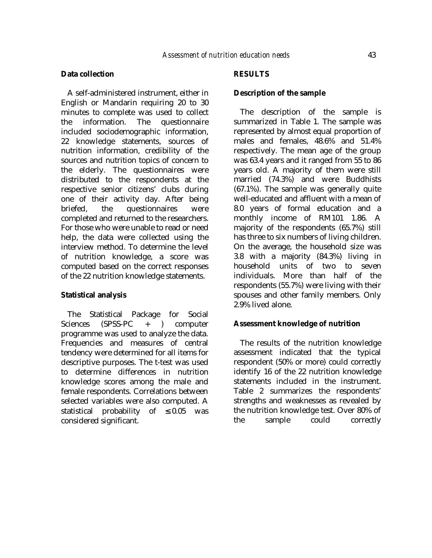### **Data collection**

A self-administered instrument, either in English or Mandarin requiring 20 to 30 minutes to complete was used to collect the information. The questionnaire included sociodemographic information, 22 knowledge statements, sources of nutrition information, credibility of the sources and nutrition topics of concern to the elderly. The questionnaires were distributed to the respondents at the respective senior citizens' clubs during one of their activity day. After being briefed, the questionnaires were completed and returned to the researchers. For those who were unable to read or need help, the data were collected using the interview method. To determine the level of nutrition knowledge, a score was computed based on the correct responses of the 22 nutrition knowledge statements.

#### **Statistical analysis**

The Statistical Package for Social Sciences (SPSS-PC + ) computer programme was used to analyze the data. Frequencies and measures of central tendency were determined for all items for descriptive purposes. The t-test was used to determine differences in nutrition knowledge scores among the male and female respondents. Correlations between selected variables were also computed. A statistical probability of  $\leq 0.05$  was considered significant.

# **RESULTS**

### **Description of the sample**

The description of the sample is summarized in Table 1. The sample was represented by almost equal proportion of males and females, 48.6% and 51.4% respectively. The mean age of the group was 63.4 years and it ranged from 55 to 86 years old. A majority of them were still married (74.3%) and were Buddhists (67.1%). The sample was generally quite well-educated and affluent with a mean of 8.0 years of formal education and a monthly income of RM101 1.86. A majority of the respondents (65.7%) still has three to six numbers of living children. On the average, the household size was 3.8 with a majority (84.3%) living in household units of two to seven individuals. More than half of the respondents (55.7%) were living with their spouses and other family members. Only 2.9% lived alone.

#### **Assessment knowledge of nutrition**

The results of the nutrition knowledge assessment indicated that the typical respondent (50% or more) could correctly identify 16 of the 22 nutrition knowledge statements included in the instrument. Table 2 summarizes the respondents' strengths and weaknesses as revealed by the nutrition knowledge test. Over 80% of the sample could correctly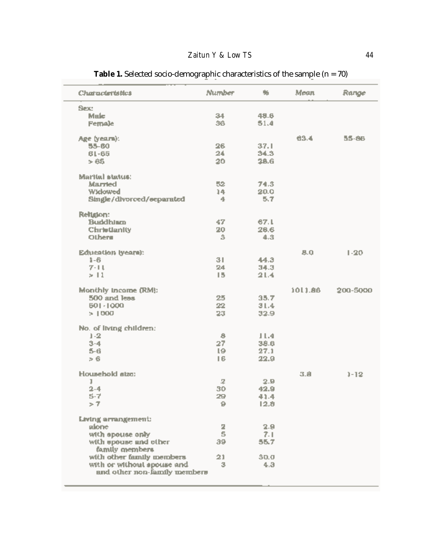| Characteristics              | Number | 豓    | Mean             | Range    |
|------------------------------|--------|------|------------------|----------|
| Sec                          |        |      |                  |          |
| Male                         | 34     | 49.6 |                  |          |
| Female                       | 36     | 51.4 |                  |          |
| Age (years):                 |        |      | 63.4             | 55-86    |
| 55-60                        | 26     | 37.1 |                  |          |
| $61 - 65$                    | 24     | 34.3 |                  |          |
| > 65                         | 20     | 28.G |                  |          |
| Marital status:              |        |      |                  |          |
| <b>Married</b>               | 52     | 74.3 |                  |          |
| <b>Widowed</b>               | 14     | 20.0 |                  |          |
| Single/divorced/eeparated    | 4      | 5.7  |                  |          |
| Religion:                    |        |      |                  |          |
| <b>Buddhiam</b>              | 47.    | 67.L |                  |          |
| Christianity                 | 20     | 26.6 |                  |          |
| Others                       | 3      | 4.3  |                  |          |
| Education (years):           |        |      | B.0              | $1 - 20$ |
| $1 - 6$                      | 31     | 44.3 |                  |          |
| $7 - 11$                     | 24     | 34.3 |                  |          |
| >11                          | 15     | 21.4 |                  |          |
|                              |        |      |                  |          |
| Monthly Income (RM):         |        |      | 1011.86          | 200-5000 |
| 500 and less                 | 25     | 35.7 |                  |          |
| 501-1000                     | 22     | 31.4 |                  |          |
| > 1000                       | 23     | 32.9 |                  |          |
| No. of Itving children:      |        |      |                  |          |
| $1 - 2$                      | 8      | 11.4 |                  |          |
| $3 - 4$                      | 27     | 38.6 |                  |          |
| 5-6                          | IΘ.    | 27.1 |                  |          |
| > 6                          | 16     | 22.9 |                  |          |
| Housebold atzo:              |        |      | $3.\overline{8}$ | $1 - 12$ |
| ı                            | 呈      | 2.9  |                  |          |
| $2 - 4$                      | 30     | 42.9 |                  |          |
| $5-7$                        | 29     | 41.4 |                  |          |
| ブア                           | 9      | 12.8 |                  |          |
| Living arrangement:          |        |      |                  |          |
| alone                        | 2      | 2.9  |                  |          |
| with apouse only             | 5      | 7.1  |                  |          |
| with upouse and other        | 39     | 55.7 |                  |          |
| family members               |        |      |                  |          |
| with other family members    | 21     | 30.0 |                  |          |
| with or without spouse and   | з      | 4.3  |                  |          |
| and other non-family members |        |      |                  |          |
|                              |        |      |                  |          |

**Table 1.** Selected socio-demographic characteristics of the sample (n = 70)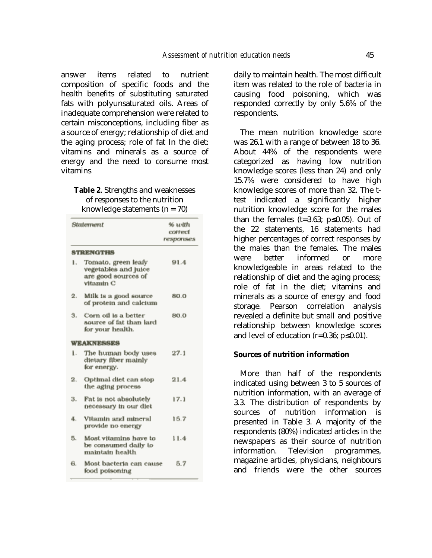answer items related to nutrient composition of specific foods and the health benefits of substituting saturated fats with polyunsaturated oils. Areas of inadequate comprehension were related to certain misconceptions, including fiber as a source of energy; relationship of diet and the aging process; role of fat In the diet: vitamins and minerals as a source of energy and the need to consume most vitamins

# **Table 2**. Strengths and weaknesses of responses to the nutrition knowledge statements  $(n = 70)$

|     | Statement                                                                        | 96 นะปิน<br>contrect<br>responses |
|-----|----------------------------------------------------------------------------------|-----------------------------------|
|     | <b>STRENGTHS</b>                                                                 |                                   |
| ۱.  | Tomato, green leafy<br>vegetables and juice<br>are good sources of<br>vitanıln C | 91.4                              |
| 2.  | Milk is a good source<br>of protein and calcium                                  | 80.0                              |
| Ĵ., | Corn oil is a better<br>source of fat than lard<br>for your health.              | 80.0                              |
|     | <b>WEAKNESSES</b>                                                                |                                   |
| t.  | The human body uses<br>dietary fiber mainly<br>for energy.                       | 27.1                              |
| 2.  | Optimal diet can stop<br>the aging process                                       | 21.4                              |
| з.  | Fat is not absolutely<br>necessary in our diet                                   | 17.1                              |
| 4.  | Vitamin and nuneral<br>provide no energy                                         | 15.7                              |
| 5.  | Most vitamins have to<br>be consumed daily to<br>maintain health                 | 11.4                              |
| 6.  | Most bacteria can cause<br>food poisoning                                        | 5.7                               |

daily to maintain health. The most difficult item was related to the role of bacteria in causing food poisoning, which was responded correctly by only 5.6% of the respondents.

The mean nutrition knowledge score was 26.1 with a range of between 18 to 36. About 44% of the respondents were categorized as having low nutrition knowledge scores (less than 24) and only 15.7% were considered to have high knowledge scores of more than 32. The ttest indicated a significantly higher nutrition knowledge score for the males than the females (t=3.63;  $p \le 0.05$ ). Out of the 22 statements, 16 statements had higher percentages of correct responses by the males than the females. The males were better informed or more knowledgeable in areas related to the relationship of diet and the aging process; role of fat in the diet; vitamins and minerals as a source of energy and food storage. Pearson correlation analysis revealed a definite but small and positive relationship between knowledge scores and level of education (r=0.36; p≤0.01).

# **Sources of nutrition information**

More than half of the respondents indicated using between 3 to 5 sources of nutrition information, with an average of 3.3. The distribution of respondents by sources of nutrition information is presented in Table 3. A majority of the respondents (80%) indicated articles in the newspapers as their source of nutrition information. Television programmes, magazine articles, physicians, neighbours and friends were the other sources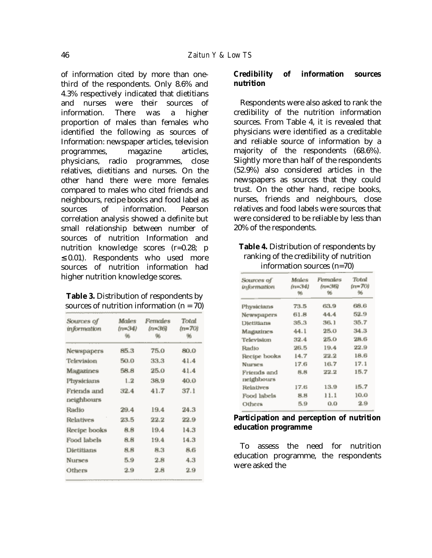of information cited by more than onethird of the respondents. Only 8.6% and 4.3% respectively indicated that dietitians and nurses were their sources of information. There was a higher proportion of males than females who identified the following as sources of Information: newspaper articles, television programmes, magazine articles, physicians, radio programmes, close relatives, dietitians and nurses. On the other hand there were more females compared to males who cited friends and neighbours, recipe books and food label as sources of information. Pearson correlation analysis showed a definite but small relationship between number of sources of nutrition Information and nutrition knowledge scores (r=0.28; p  $\leq$  0.01). Respondents who used more sources of nutrition information had higher nutrition knowledge scores.

**Table 3.** Distribution of respondents by sources of nutrition information  $(n = 70)$ 

| Sources of<br>information | Males<br>(n=34)<br>96 | Females<br>$(n=36)$<br>96 | Total<br>$(n=70)$<br>96 |
|---------------------------|-----------------------|---------------------------|-------------------------|
| Newspapers                | 85.3                  | 75.0                      | 80.0                    |
| Television                | 50.0                  | 33.3                      | 41.4                    |
| Magazines                 | 58.8                  | 25.0                      | 41.4                    |
| Physicians                | 1.2                   | 38.9                      | 40.0                    |
| Friends and<br>neighbours | 32.4                  | 41.7                      | 37.1                    |
| Radio                     | 29.4                  | 19.4                      | 24.3                    |
| Relatives                 | 23.5                  | 22.2                      | 22.9                    |
| Recipe books              | 8.8                   | 19.4                      | 14.3                    |
| Food labels               | 8.8                   | 19.4                      | E.41                    |
| Dietitians                | 8.8                   | 8.3                       | 8.6                     |
| Nurses                    | 5.9                   | 2.8                       | 4.3                     |
| Others                    | 2.9                   | 2.8                       | 2.9                     |

# **Credibility of information sources nutrition**

Respondents were also asked to rank the credibility of the nutrition information sources. From Table 4, it is revealed that physicians were identified as a creditable and reliable source of information by a majority of the respondents (68.6%). Slightly more than half of the respondents (52.9%) also considered articles in the newspapers as sources that they could trust. On the other hand, recipe books, nurses, friends and neighbours, close relatives and food labels were sources that were considered to be reliable by less than 20% of the respondents.

**Table 4.** Distribution of respondents by ranking of the credibility of nutrition information sources (n=70)

| Sources of                | Males    | Females | Total  |
|---------------------------|----------|---------|--------|
| <i><b>information</b></i> | $(n=34)$ | (n=36)  | (n=70) |
|                           | 96       | 96      | 96     |
| Physicians                | 73.5     | 63.9    | 68.6   |
| Newspapers                | 61.8     | 44.4    | 52.9   |
| Dietitians                | 35.3     | 36.1    | 35.7   |
| Magazines                 | 44.1     | 25.0    | 34.3   |
| Television                | 32.4     | 25.0    | 28.6   |
| Radio                     | 26.5     | 19.4    | 22.9   |
| Recipe books              | 14.7     | 22.2    | 18.6   |
| <b>Nurses</b>             | 17.6     | 16.7    | 17.1   |
| Friends and<br>neighbours | 8.8      | 22.2    | 15.7   |
| Relatives                 | 17.6     | 13.9    | 15.7   |
| Food labels               | 8.8      | 11.1    | 10.0   |
| Others                    | 5.9      | 0.0     | 2.9    |
|                           |          |         |        |

# **Participation and perception of nutrition education programme**

To assess the need for nutrition education programme, the respondents were asked the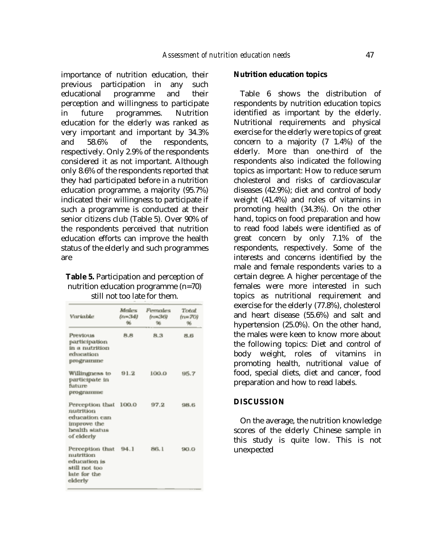importance of nutrition education, their previous participation in any such educational programme and their perception and willingness to participate in future programmes. Nutrition education for the elderly was ranked as very important and important by 34.3% and 58.6% of the respondents, respectively. Only 2.9% of the respondents considered it as not important. Although only 8.6% of the respondents reported that they had participated before in a nutrition education programme, a majority (95.7%) indicated their willingness to participate if such a programme is conducted at their senior citizens club (Table 5). Over 90% of the respondents perceived that nutrition education efforts can improve the health status of the elderly and such programmes are

# **Table 5.** Participation and perception of nutrition education programme (n=70) still not too late for them.

| Variable                                                                                    | <b>Metless</b><br>{n=34}<br>骗 | Fernales<br>tr:=36)<br>96 | Total<br>$(n=70)$<br>% |
|---------------------------------------------------------------------------------------------|-------------------------------|---------------------------|------------------------|
| Previous.<br>participation<br>in a nutrition<br>education<br>programme                      | 8.8                           | 8.3                       | 8.6                    |
| Willingness to<br>participate in<br>future<br>programme                                     | 91.2                          | 100.0                     | 95.7                   |
| Perception that<br>nutrition<br>education can<br>improve the<br>health status<br>of elderly | 100.0                         | 97.2                      | 98.6                   |
| Perception that<br>nutrition<br>education is<br>still not too<br>late for the<br>elderly    | 94.1                          | 86.1                      | 90.0                   |

### **Nutrition education topics**

Table 6 shows the distribution of respondents by nutrition education topics identified as important by the elderly. Nutritional requirements and physical exercise for the elderly were topics of great concern to a majority (7 1.4%) of the elderly. More than one-third of the respondents also indicated the following topics as important: How to reduce serum cholesterol and risks of cardiovascular diseases (42.9%); diet and control of body weight (41.4%) and roles of vitamins in promoting health (34.3%). On the other hand, topics on food preparation and how to read food labels were identified as of great concern by only 7.1% of the respondents, respectively. Some of the interests and concerns identified by the male and female respondents varies to a certain degree. A higher percentage of the females were more interested in such topics as nutritional requirement and exercise for the elderly (77.8%), cholesterol and heart disease (55.6%) and salt and hypertension (25.0%). On the other hand, the males were keen to know more about the following topics: Diet and control of body weight, roles of vitamins in promoting health, nutritional value of food, special diets, diet and cancer, food preparation and how to read labels.

#### **DISCUSSION**

On the average, the nutrition knowledge scores of the elderly Chinese sample in this study is quite low. This is not unexpected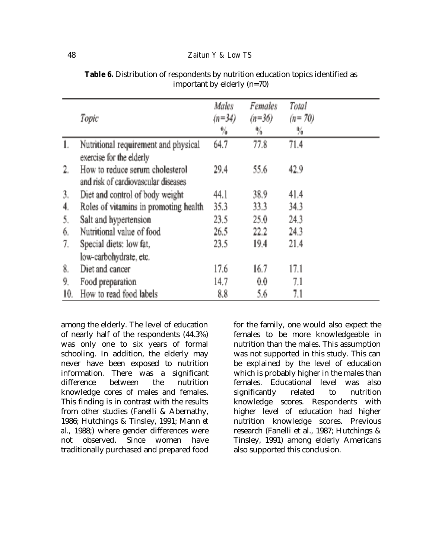|                | Topic                                                                  | <b>Males</b><br>$(n=34)$<br>畅 | <b>Females</b><br>$(n=36)$<br>%. | Total<br>$(n = 70)$<br>$\frac{0}{4}$ |  |
|----------------|------------------------------------------------------------------------|-------------------------------|----------------------------------|--------------------------------------|--|
| $\mathbf{1}$ . | Nutritional requirement and physical                                   | 64.7                          | 77.8                             | 71.4                                 |  |
|                | exercise for the elderly                                               |                               |                                  |                                      |  |
| 2.             | How to reduce serum cholesterol<br>and risk of cardiovascular diseases | 29.4                          | 55.6                             | 42.9                                 |  |
| 3.             | Diet and control of body weight                                        | 44.1                          | 38.9                             | 41.4                                 |  |
| 4.             | Roles of vitamins in promoting health                                  | 35.3                          | 33.3                             | 34.3                                 |  |
| 5,             | Salt and hypertension                                                  | 23.5                          | 25.0                             | 24.3                                 |  |
| 6.             | Nutritional value of food                                              | 26.5                          | 22.2                             | 24.3                                 |  |
| 7.             | Special diets: low fat,                                                | 23.5                          | 19.4                             | 21.4                                 |  |
|                | low-carbohydrate, etc.                                                 |                               |                                  |                                      |  |
| 8.             | Diet and cancer                                                        | 17.6                          | 16.7                             | 17.1                                 |  |
| 9.             | Food preparation                                                       | 14.7                          | 0.0                              | 7.1                                  |  |
| 10.            | How to read food labels                                                | 8.8                           | 5.6                              | 7.1                                  |  |

Table 6. Distribution of respondents by nutrition education topics identified as important by elderly (n=70)

among the elderly. The level of education of nearly half of the respondents (44.3%) was only one to six years of formal schooling. In addition, the elderly may never have been exposed to nutrition information. There was a significant difference between the nutrition knowledge cores of males and females. This finding is in contrast with the results from other studies (Fanelli & Abernathy, 1986; Hutchings & Tinsley, 1991; Mann *et al.,* 1988;) where gender differences were not observed. Since women have traditionally purchased and prepared food

for the family, one would also expect the females to be more knowledgeable in nutrition than the males. This assumption was not supported in this study. This can be explained by the level of education which is probably higher in the males than females. Educational level was also significantly related to nutrition knowledge scores. Respondents with higher level of education had higher nutrition knowledge scores. Previous research (Fanelli et al., 1987; Hutchings & Tinsley, 1991) among elderly Americans also supported this conclusion.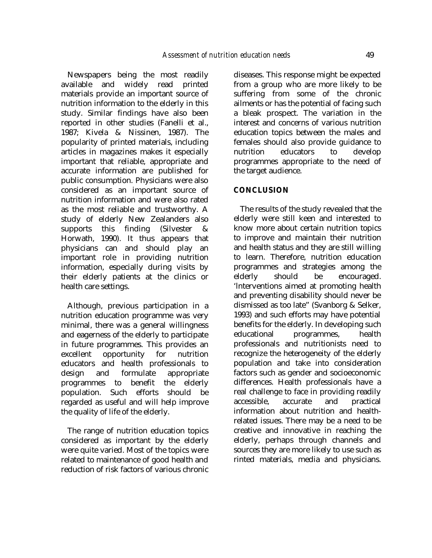Newspapers being the most readily available and widely read printed materials provide an important source of nutrition information to the elderly in this study. Similar findings have also been reported in other studies (Fanelli et al., 1987; Kivela & Nissinen, 1987). The popularity of printed materials, including articles in magazines makes it especially important that reliable, appropriate and accurate information are published for public consumption. Physicians were also considered as an important source of nutrition information and were also rated as the most reliable and trustworthy. A study of elderly New Zealanders also supports this finding (Silvester & Horwath, 1990). It thus appears that physicians can and should play an important role in providing nutrition information, especially during visits by their elderly patients at the clinics or health care settings.

Although, previous participation in a nutrition education programme was very minimal, there was a general willingness and eagerness of the elderly to participate in future programmes. This provides an excellent opportunity for nutrition educators and health professionals to design and formulate appropriate programmes to benefit the elderly population. Such efforts should be regarded as useful and will help improve the quality of life of the elderly.

The range of nutrition education topics considered as important by the elderly were quite varied. Most of the topics were related to maintenance of good health and reduction of risk factors of various chronic diseases. This response might be expected from a group who are more likely to be suffering from some of the chronic ailments or has the potential of facing such a bleak prospect. The variation in the interest and concerns of various nutrition education topics between the males and females should also provide guidance to nutrition educators to develop programmes appropriate to the need of the target audience.

# **CONCLUSION**

The results of the study revealed that the elderly were still keen and interested to know more about certain nutrition topics to improve and maintain their nutrition and health status and they are still willing to learn. Therefore, nutrition education programmes and strategies among the elderly should be encouraged. 'lnterventions aimed at promoting health and preventing disability should never be dismissed as too late" (Svanborg & Selker, 1993) and such efforts may have potential benefits for the elderly. In developing such educational programmes, health professionals and nutritionists need to recognize the heterogeneity of the elderly population and take into consideration factors such as gender and socioeconomic differences. Health professionals have a real challenge to face in providing readily accessible, accurate and practical information about nutrition and healthrelated issues. There may be a need to be creative and innovative in reaching the elderly, perhaps through channels and sources they are more likely to use such as rinted materials, media and physicians.